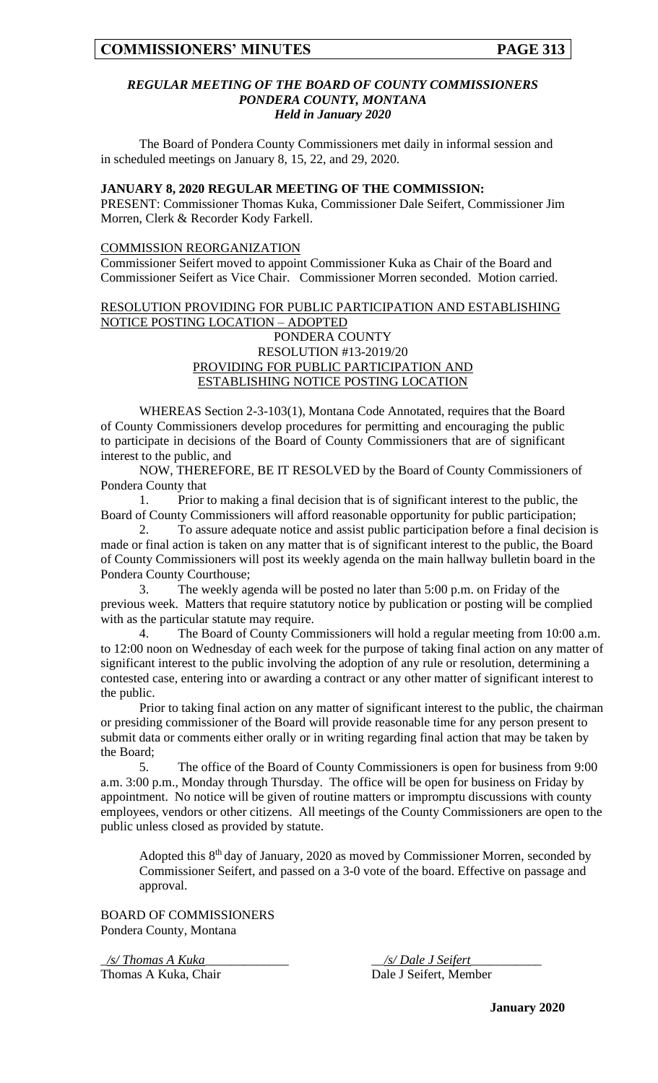## *REGULAR MEETING OF THE BOARD OF COUNTY COMMISSIONERS PONDERA COUNTY, MONTANA Held in January 2020*

The Board of Pondera County Commissioners met daily in informal session and in scheduled meetings on January 8, 15, 22, and 29, 2020.

#### **JANUARY 8, 2020 REGULAR MEETING OF THE COMMISSION:**

PRESENT: Commissioner Thomas Kuka, Commissioner Dale Seifert, Commissioner Jim Morren, Clerk & Recorder Kody Farkell.

#### COMMISSION REORGANIZATION

Commissioner Seifert moved to appoint Commissioner Kuka as Chair of the Board and Commissioner Seifert as Vice Chair. Commissioner Morren seconded. Motion carried.

# RESOLUTION PROVIDING FOR PUBLIC PARTICIPATION AND ESTABLISHING NOTICE POSTING LOCATION – ADOPTED PONDERA COUNTY RESOLUTION #13-2019/20 PROVIDING FOR PUBLIC PARTICIPATION AND ESTABLISHING NOTICE POSTING LOCATION

WHEREAS Section 2-3-103(1), Montana Code Annotated, requires that the Board of County Commissioners develop procedures for permitting and encouraging the public to participate in decisions of the Board of County Commissioners that are of significant interest to the public, and

NOW, THEREFORE, BE IT RESOLVED by the Board of County Commissioners of Pondera County that

1. Prior to making a final decision that is of significant interest to the public, the Board of County Commissioners will afford reasonable opportunity for public participation;

2. To assure adequate notice and assist public participation before a final decision is made or final action is taken on any matter that is of significant interest to the public, the Board of County Commissioners will post its weekly agenda on the main hallway bulletin board in the Pondera County Courthouse;

3. The weekly agenda will be posted no later than 5:00 p.m. on Friday of the previous week. Matters that require statutory notice by publication or posting will be complied with as the particular statute may require.

4. The Board of County Commissioners will hold a regular meeting from 10:00 a.m. to 12:00 noon on Wednesday of each week for the purpose of taking final action on any matter of significant interest to the public involving the adoption of any rule or resolution, determining a contested case, entering into or awarding a contract or any other matter of significant interest to the public.

Prior to taking final action on any matter of significant interest to the public, the chairman or presiding commissioner of the Board will provide reasonable time for any person present to submit data or comments either orally or in writing regarding final action that may be taken by the Board;

5. The office of the Board of County Commissioners is open for business from 9:00 a.m. 3:00 p.m., Monday through Thursday. The office will be open for business on Friday by appointment. No notice will be given of routine matters or impromptu discussions with county employees, vendors or other citizens. All meetings of the County Commissioners are open to the public unless closed as provided by statute.

Adopted this 8<sup>th</sup> day of January, 2020 as moved by Commissioner Morren, seconded by Commissioner Seifert, and passed on a 3-0 vote of the board. Effective on passage and approval.

BOARD OF COMMISSIONERS Pondera County, Montana

Thomas A Kuka, Chair Dale J Seifert, Member

\_*/s/ Thomas A Kuka*\_\_\_\_\_\_\_\_\_\_\_\_\_ \_\_*/s/ Dale J Seifert*\_\_\_\_\_\_\_\_\_\_\_

**January 2020**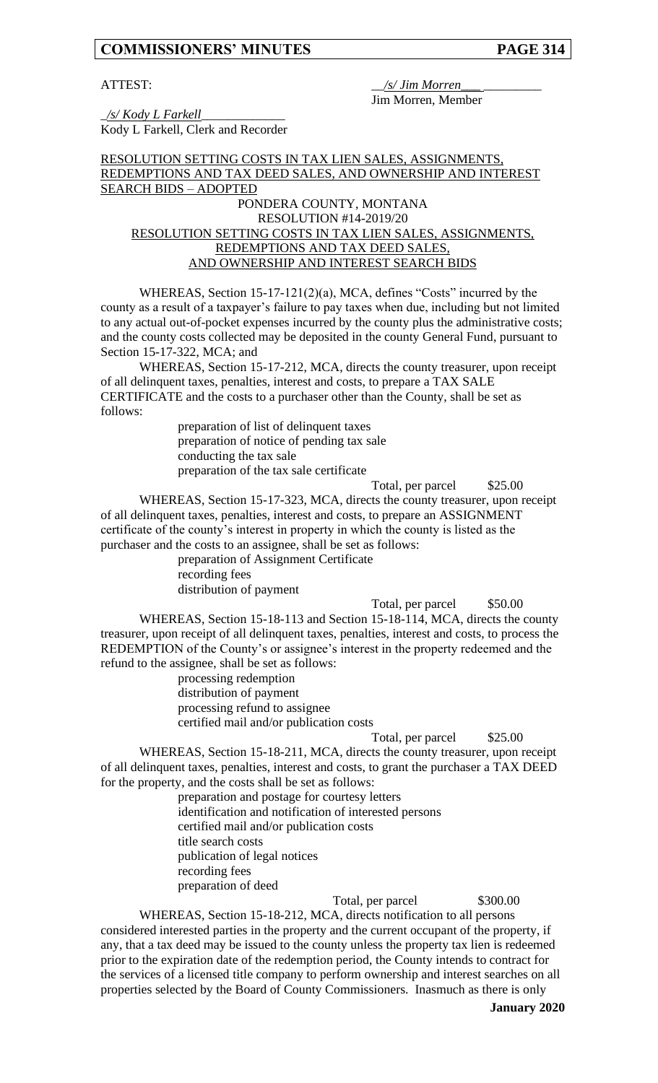#### ATTEST:  $\frac{1}{s}$  /s/ *Jim Morren* Jim Morren, Member

\_*/s/ Kody L Farkell*\_\_\_\_\_\_\_\_\_\_\_\_\_ Kody L Farkell, Clerk and Recorder

# RESOLUTION SETTING COSTS IN TAX LIEN SALES, ASSIGNMENTS, REDEMPTIONS AND TAX DEED SALES, AND OWNERSHIP AND INTEREST SEARCH BIDS – ADOPTED

# PONDERA COUNTY, MONTANA RESOLUTION #14-2019/20 RESOLUTION SETTING COSTS IN TAX LIEN SALES, ASSIGNMENTS, REDEMPTIONS AND TAX DEED SALES, AND OWNERSHIP AND INTEREST SEARCH BIDS

WHEREAS, Section 15-17-121(2)(a), MCA, defines "Costs" incurred by the county as a result of a taxpayer's failure to pay taxes when due, including but not limited to any actual out-of-pocket expenses incurred by the county plus the administrative costs; and the county costs collected may be deposited in the county General Fund, pursuant to Section 15-17-322, MCA; and

WHEREAS, Section 15-17-212, MCA, directs the county treasurer, upon receipt of all delinquent taxes, penalties, interest and costs, to prepare a TAX SALE CERTIFICATE and the costs to a purchaser other than the County, shall be set as follows:

preparation of list of delinquent taxes preparation of notice of pending tax sale conducting the tax sale preparation of the tax sale certificate

Total, per parcel  $$25.00$ 

WHEREAS, Section 15-17-323, MCA, directs the county treasurer, upon receipt of all delinquent taxes, penalties, interest and costs, to prepare an ASSIGNMENT certificate of the county's interest in property in which the county is listed as the purchaser and the costs to an assignee, shall be set as follows:

preparation of Assignment Certificate recording fees

distribution of payment

Total, per parcel \$50.00

WHEREAS, Section 15-18-113 and Section 15-18-114, MCA, directs the county treasurer, upon receipt of all delinquent taxes, penalties, interest and costs, to process the REDEMPTION of the County's or assignee's interest in the property redeemed and the refund to the assignee, shall be set as follows:

> processing redemption distribution of payment processing refund to assignee certified mail and/or publication costs

Total, per parcel \$25.00 WHEREAS, Section 15-18-211, MCA, directs the county treasurer, upon receipt of all delinquent taxes, penalties, interest and costs, to grant the purchaser a TAX DEED for the property, and the costs shall be set as follows:

> preparation and postage for courtesy letters identification and notification of interested persons certified mail and/or publication costs title search costs publication of legal notices recording fees preparation of deed

Total, per parcel \$300.00

WHEREAS, Section 15-18-212, MCA, directs notification to all persons considered interested parties in the property and the current occupant of the property, if any, that a tax deed may be issued to the county unless the property tax lien is redeemed prior to the expiration date of the redemption period, the County intends to contract for the services of a licensed title company to perform ownership and interest searches on all properties selected by the Board of County Commissioners. Inasmuch as there is only

**January 2020**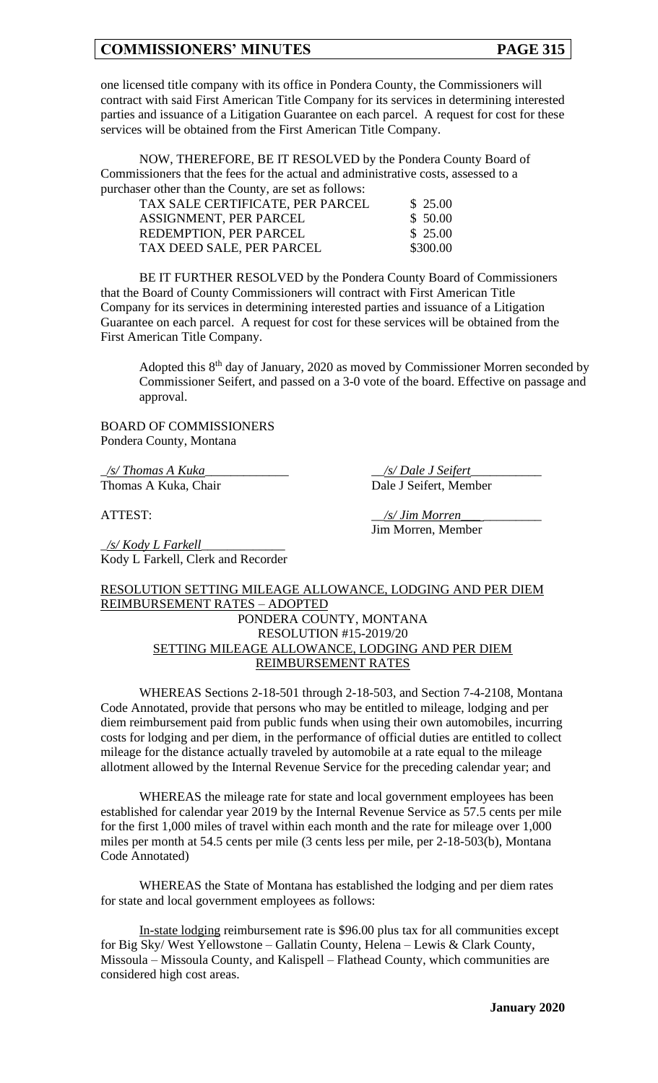one licensed title company with its office in Pondera County, the Commissioners will contract with said First American Title Company for its services in determining interested parties and issuance of a Litigation Guarantee on each parcel. A request for cost for these services will be obtained from the First American Title Company.

NOW, THEREFORE, BE IT RESOLVED by the Pondera County Board of Commissioners that the fees for the actual and administrative costs, assessed to a purchaser other than the County, are set as follows:

| TAX SALE CERTIFICATE, PER PARCEL | \$25.00  |
|----------------------------------|----------|
| ASSIGNMENT, PER PARCEL           | \$50.00  |
| REDEMPTION, PER PARCEL           | \$25.00  |
| TAX DEED SALE, PER PARCEL        | \$300.00 |

BE IT FURTHER RESOLVED by the Pondera County Board of Commissioners that the Board of County Commissioners will contract with First American Title Company for its services in determining interested parties and issuance of a Litigation Guarantee on each parcel. A request for cost for these services will be obtained from the First American Title Company.

Adopted this 8<sup>th</sup> day of January, 2020 as moved by Commissioner Morren seconded by Commissioner Seifert, and passed on a 3-0 vote of the board. Effective on passage and approval.

BOARD OF COMMISSIONERS Pondera County, Montana

Kody L Farkell, Clerk and Recorder

\_*/s/ Thomas A Kuka*\_\_\_\_\_\_\_\_\_\_\_\_\_ \_\_*/s/ Dale J Seifert*\_\_\_\_\_\_\_\_\_\_\_ Thomas A Kuka, Chair Dale J Seifert, Member

\_*/s/ Kody L Farkell*\_\_\_\_\_\_\_\_\_\_\_\_\_

ATTEST:  $\frac{1}{s'} \lim \text{Morren}$ Jim Morren, Member

# RESOLUTION SETTING MILEAGE ALLOWANCE, LODGING AND PER DIEM REIMBURSEMENT RATES – ADOPTED PONDERA COUNTY, MONTANA RESOLUTION #15-2019/20 SETTING MILEAGE ALLOWANCE, LODGING AND PER DIEM REIMBURSEMENT RATES

WHEREAS Sections 2-18-501 through 2-18-503, and Section 7-4-2108, Montana Code Annotated, provide that persons who may be entitled to mileage, lodging and per diem reimbursement paid from public funds when using their own automobiles, incurring costs for lodging and per diem, in the performance of official duties are entitled to collect mileage for the distance actually traveled by automobile at a rate equal to the mileage allotment allowed by the Internal Revenue Service for the preceding calendar year; and

WHEREAS the mileage rate for state and local government employees has been established for calendar year 2019 by the Internal Revenue Service as 57.5 cents per mile for the first 1,000 miles of travel within each month and the rate for mileage over 1,000 miles per month at 54.5 cents per mile (3 cents less per mile, per 2-18-503(b), Montana Code Annotated)

WHEREAS the State of Montana has established the lodging and per diem rates for state and local government employees as follows:

In-state lodging reimbursement rate is \$96.00 plus tax for all communities except for Big Sky/ West Yellowstone – Gallatin County, Helena – Lewis & Clark County, Missoula – Missoula County, and Kalispell – Flathead County, which communities are considered high cost areas.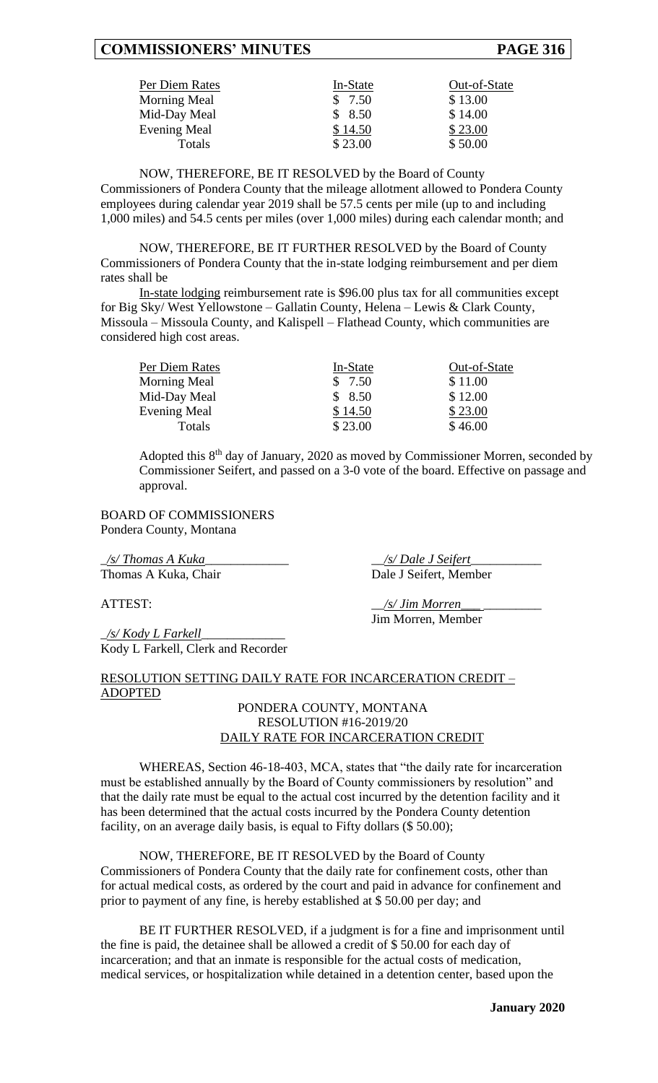| Per Diem Rates      | In-State | Out-of-State |
|---------------------|----------|--------------|
| Morning Meal        | \$7.50   | \$13.00      |
| Mid-Day Meal        | \$8.50   | \$14.00      |
| <b>Evening Meal</b> | \$14.50  | \$23.00      |
| Totals              | \$23.00  | \$50.00      |

NOW, THEREFORE, BE IT RESOLVED by the Board of County Commissioners of Pondera County that the mileage allotment allowed to Pondera County employees during calendar year 2019 shall be 57.5 cents per mile (up to and including 1,000 miles) and 54.5 cents per miles (over 1,000 miles) during each calendar month; and

NOW, THEREFORE, BE IT FURTHER RESOLVED by the Board of County Commissioners of Pondera County that the in-state lodging reimbursement and per diem rates shall be

In-state lodging reimbursement rate is \$96.00 plus tax for all communities except for Big Sky/ West Yellowstone – Gallatin County, Helena – Lewis & Clark County, Missoula – Missoula County, and Kalispell – Flathead County, which communities are considered high cost areas.

| Per Diem Rates | In-State | Out-of-State |
|----------------|----------|--------------|
| Morning Meal   | \$7.50   | \$11.00      |
| Mid-Day Meal   | \$8.50   | \$12.00      |
| Evening Meal   | \$14.50  | \$23.00      |
| Totals         | \$23.00  | \$46.00      |

Adopted this 8<sup>th</sup> day of January, 2020 as moved by Commissioner Morren, seconded by Commissioner Seifert, and passed on a 3-0 vote of the board. Effective on passage and approval.

BOARD OF COMMISSIONERS Pondera County, Montana

\_*/s/ Thomas A Kuka*\_\_\_\_\_\_\_\_\_\_\_\_\_ \_\_*/s/ Dale J Seifert*\_\_\_\_\_\_\_\_\_\_\_ Thomas A Kuka, Chair Dale J Seifert, Member

ATTEST:  $\frac{s}{Jim\;Morren}$ Jim Morren, Member

\_*/s/ Kody L Farkell*\_\_\_\_\_\_\_\_\_\_\_\_\_ Kody L Farkell, Clerk and Recorder

# RESOLUTION SETTING DAILY RATE FOR INCARCERATION CREDIT – ADOPTED

# PONDERA COUNTY, MONTANA RESOLUTION #16-2019/20 DAILY RATE FOR INCARCERATION CREDIT

WHEREAS, Section 46-18-403, MCA, states that "the daily rate for incarceration must be established annually by the Board of County commissioners by resolution" and that the daily rate must be equal to the actual cost incurred by the detention facility and it has been determined that the actual costs incurred by the Pondera County detention facility, on an average daily basis, is equal to Fifty dollars (\$50.00);

NOW, THEREFORE, BE IT RESOLVED by the Board of County Commissioners of Pondera County that the daily rate for confinement costs, other than for actual medical costs, as ordered by the court and paid in advance for confinement and prior to payment of any fine, is hereby established at \$ 50.00 per day; and

BE IT FURTHER RESOLVED, if a judgment is for a fine and imprisonment until the fine is paid, the detainee shall be allowed a credit of \$ 50.00 for each day of incarceration; and that an inmate is responsible for the actual costs of medication, medical services, or hospitalization while detained in a detention center, based upon the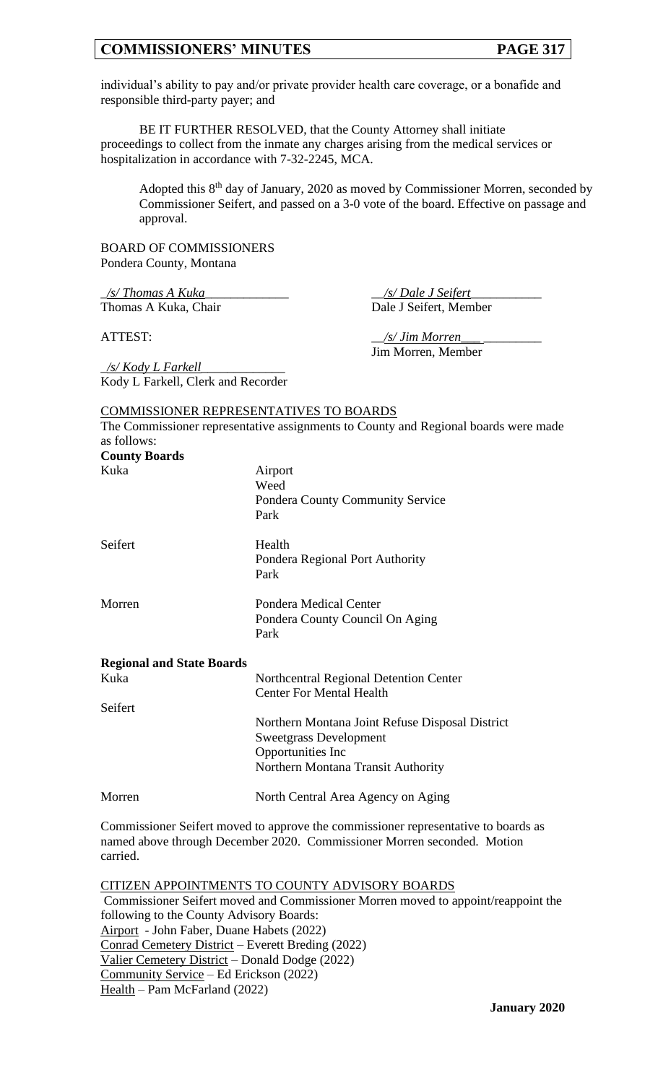individual's ability to pay and/or private provider health care coverage, or a bonafide and responsible third-party payer; and

BE IT FURTHER RESOLVED, that the County Attorney shall initiate proceedings to collect from the inmate any charges arising from the medical services or hospitalization in accordance with 7-32-2245, MCA.

Adopted this 8<sup>th</sup> day of January, 2020 as moved by Commissioner Morren, seconded by Commissioner Seifert, and passed on a 3-0 vote of the board. Effective on passage and approval.

BOARD OF COMMISSIONERS Pondera County, Montana

\_*/s/ Thomas A Kuka*\_\_\_\_\_\_\_\_\_\_\_\_\_ \_\_*/s/ Dale J Seifert*\_\_\_\_\_\_\_\_\_\_\_ Thomas A Kuka, Chair Dale J Seifert, Member

ATTEST:  $\frac{1}{s'}$  *Jim Morren* Jim Morren, Member

\_*/s/ Kody L Farkell*\_\_\_\_\_\_\_\_\_\_\_\_\_ Kody L Farkell, Clerk and Recorder

#### COMMISSIONER REPRESENTATIVES TO BOARDS

The Commissioner representative assignments to County and Regional boards were made as follows: **County Boards**

| <b>County Boards</b>             |                                                                                                                                             |
|----------------------------------|---------------------------------------------------------------------------------------------------------------------------------------------|
| Kuka                             | Airport<br>Weed<br><b>Pondera County Community Service</b><br>Park                                                                          |
| Seifert                          | Health<br>Pondera Regional Port Authority<br>Park                                                                                           |
| Morren                           | Pondera Medical Center<br>Pondera County Council On Aging<br>Park                                                                           |
| <b>Regional and State Boards</b> |                                                                                                                                             |
| Kuka                             | Northcentral Regional Detention Center<br><b>Center For Mental Health</b>                                                                   |
| Seifert                          | Northern Montana Joint Refuse Disposal District<br><b>Sweetgrass Development</b><br>Opportunities Inc<br>Northern Montana Transit Authority |
| Morren                           | North Central Area Agency on Aging                                                                                                          |
|                                  |                                                                                                                                             |

Commissioner Seifert moved to approve the commissioner representative to boards as named above through December 2020. Commissioner Morren seconded. Motion carried.

CITIZEN APPOINTMENTS TO COUNTY ADVISORY BOARDS Commissioner Seifert moved and Commissioner Morren moved to appoint/reappoint the following to the County Advisory Boards: Airport - John Faber, Duane Habets (2022) Conrad Cemetery District – Everett Breding (2022) Valier Cemetery District – Donald Dodge (2022) Community Service – Ed Erickson (2022) Health – Pam McFarland (2022)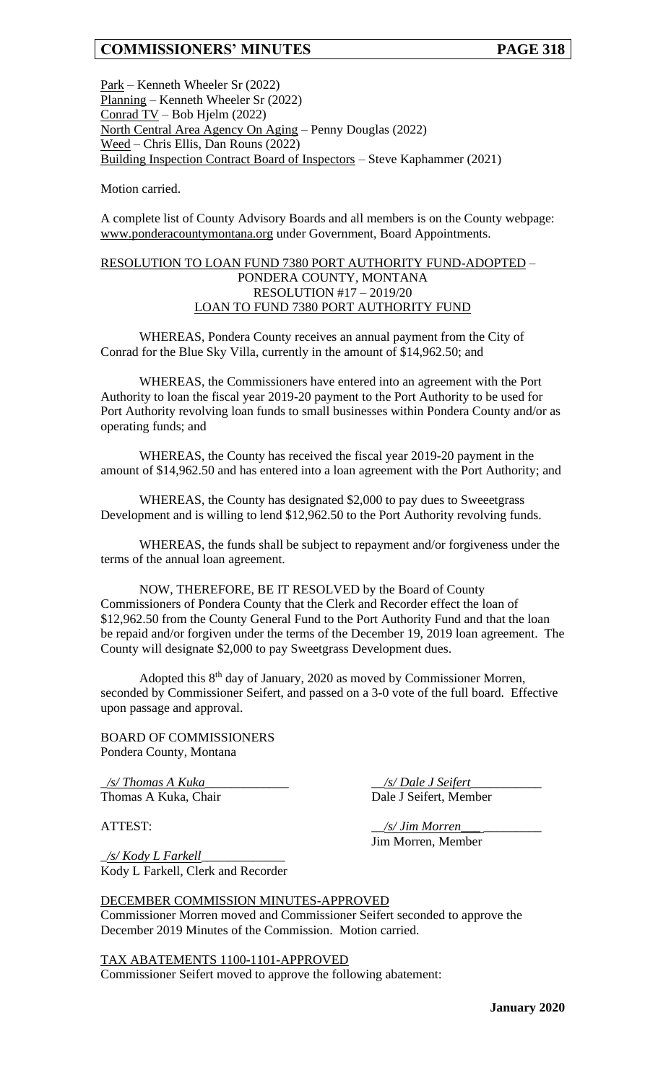Park – Kenneth Wheeler Sr (2022) Planning – Kenneth Wheeler Sr (2022) Conrad TV – Bob Hjelm (2022) North Central Area Agency On Aging – Penny Douglas (2022) Weed – Chris Ellis, Dan Rouns (2022) Building Inspection Contract Board of Inspectors – Steve Kaphammer (2021)

Motion carried.

A complete list of County Advisory Boards and all members is on the County webpage: www.ponderacountymontana.org under Government, Board Appointments.

# RESOLUTION TO LOAN FUND 7380 PORT AUTHORITY FUND-ADOPTED – PONDERA COUNTY, MONTANA RESOLUTION #17 – 2019/20 LOAN TO FUND 7380 PORT AUTHORITY FUND

WHEREAS, Pondera County receives an annual payment from the City of Conrad for the Blue Sky Villa, currently in the amount of \$14,962.50; and

WHEREAS, the Commissioners have entered into an agreement with the Port Authority to loan the fiscal year 2019-20 payment to the Port Authority to be used for Port Authority revolving loan funds to small businesses within Pondera County and/or as operating funds; and

WHEREAS, the County has received the fiscal year 2019-20 payment in the amount of \$14,962.50 and has entered into a loan agreement with the Port Authority; and

WHEREAS, the County has designated \$2,000 to pay dues to Sweeetgrass Development and is willing to lend \$12,962.50 to the Port Authority revolving funds.

WHEREAS, the funds shall be subject to repayment and/or forgiveness under the terms of the annual loan agreement.

NOW, THEREFORE, BE IT RESOLVED by the Board of County Commissioners of Pondera County that the Clerk and Recorder effect the loan of \$12,962.50 from the County General Fund to the Port Authority Fund and that the loan be repaid and/or forgiven under the terms of the December 19, 2019 loan agreement. The County will designate \$2,000 to pay Sweetgrass Development dues.

Adopted this 8<sup>th</sup> day of January, 2020 as moved by Commissioner Morren, seconded by Commissioner Seifert, and passed on a 3-0 vote of the full board. Effective upon passage and approval.

BOARD OF COMMISSIONERS Pondera County, Montana

\_*/s/ Thomas A Kuka*\_\_\_\_\_\_\_\_\_\_\_\_\_ \_\_*/s/ Dale J Seifert*\_\_\_\_\_\_\_\_\_\_\_ Thomas A Kuka, Chair Dale J Seifert, Member

ATTEST:  $\frac{1}{s}$  /s/ *Jim Morren* Jim Morren, Member

\_*/s/ Kody L Farkell*\_\_\_\_\_\_\_\_\_\_\_\_\_ Kody L Farkell, Clerk and Recorder

DECEMBER COMMISSION MINUTES-APPROVED Commissioner Morren moved and Commissioner Seifert seconded to approve the December 2019 Minutes of the Commission. Motion carried.

TAX ABATEMENTS 1100-1101-APPROVED Commissioner Seifert moved to approve the following abatement: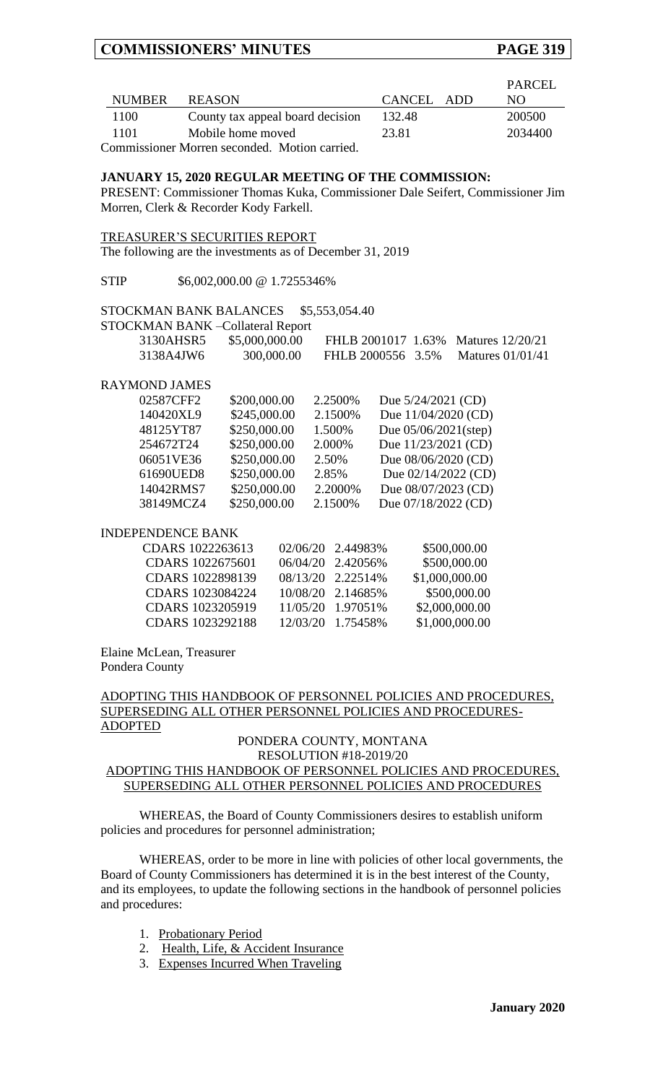|               |                                               |            | PARCEL  |
|---------------|-----------------------------------------------|------------|---------|
| <b>NUMBER</b> | <b>REASON</b>                                 | CANCEL ADD | NO.     |
| 1100          | County tax appeal board decision              | 132.48     | 200500  |
| 1101          | Mobile home moved                             | 23.81      | 2034400 |
|               | Commissioner Morren seconded. Motion carried. |            |         |

## **JANUARY 15, 2020 REGULAR MEETING OF THE COMMISSION:**

PRESENT: Commissioner Thomas Kuka, Commissioner Dale Seifert, Commissioner Jim Morren, Clerk & Recorder Kody Farkell.

| TREASURER'S SECURITIES REPORT                             |  |
|-----------------------------------------------------------|--|
| The following are the investments as of December 31, 2019 |  |

STIP  $$6,002,000.00 \text{ @ } 1.7255346\%$ 

### STOCKMAN BANK BALANCES \$5,553,054.40

#### STOCKMAN BANK –Collateral Report

| 3130AHSR5 | \$5,000,000.00 |                   | FHLB 2001017 1.63% Matures 12/20/21 |
|-----------|----------------|-------------------|-------------------------------------|
| 3138A4JW6 | 300,000.00     | FHLB 2000556 3.5% | Matures $01/01/41$                  |

#### RAYMOND JAMES

| 02587CFF2 | \$200,000.00 | 2.2500% | Due 5/24/2021 (CD)   |
|-----------|--------------|---------|----------------------|
| 140420XL9 | \$245,000.00 | 2.1500% | Due 11/04/2020 (CD)  |
| 48125YT87 | \$250,000.00 | 1.500%  | Due 05/06/2021(step) |
| 254672T24 | \$250,000.00 | 2.000%  | Due 11/23/2021 (CD)  |
| 06051VE36 | \$250,000.00 | 2.50%   | Due 08/06/2020 (CD)  |
| 61690UED8 | \$250,000.00 | 2.85%   | Due 02/14/2022 (CD)  |
| 14042RMS7 | \$250,000.00 | 2.2000% | Due 08/07/2023 (CD)  |
| 38149MCZ4 | \$250,000.00 | 2.1500% | Due 07/18/2022 (CD)  |

#### INDEPENDENCE BANK

| CDARS 1022263613 | 02/06/20 2.44983% | \$500,000.00   |
|------------------|-------------------|----------------|
| CDARS 1022675601 | 06/04/20 2.42056% | \$500,000.00   |
| CDARS 1022898139 | 08/13/20 2.22514% | \$1,000,000.00 |
| CDARS 1023084224 | 10/08/20 2.14685% | \$500,000.00   |
| CDARS 1023205919 | 11/05/20 1.97051% | \$2,000,000.00 |
| CDARS 1023292188 | 12/03/20 1.75458% | \$1,000,000.00 |

Elaine McLean, Treasurer Pondera County

### ADOPTING THIS HANDBOOK OF PERSONNEL POLICIES AND PROCEDURES, SUPERSEDING ALL OTHER PERSONNEL POLICIES AND PROCEDURES-ADOPTED

# PONDERA COUNTY, MONTANA RESOLUTION #18-2019/20 ADOPTING THIS HANDBOOK OF PERSONNEL POLICIES AND PROCEDURES, SUPERSEDING ALL OTHER PERSONNEL POLICIES AND PROCEDURES

WHEREAS, the Board of County Commissioners desires to establish uniform policies and procedures for personnel administration;

WHEREAS, order to be more in line with policies of other local governments, the Board of County Commissioners has determined it is in the best interest of the County, and its employees, to update the following sections in the handbook of personnel policies and procedures:

- 1. Probationary Period
- 2. Health, Life, & Accident Insurance
- 3. Expenses Incurred When Traveling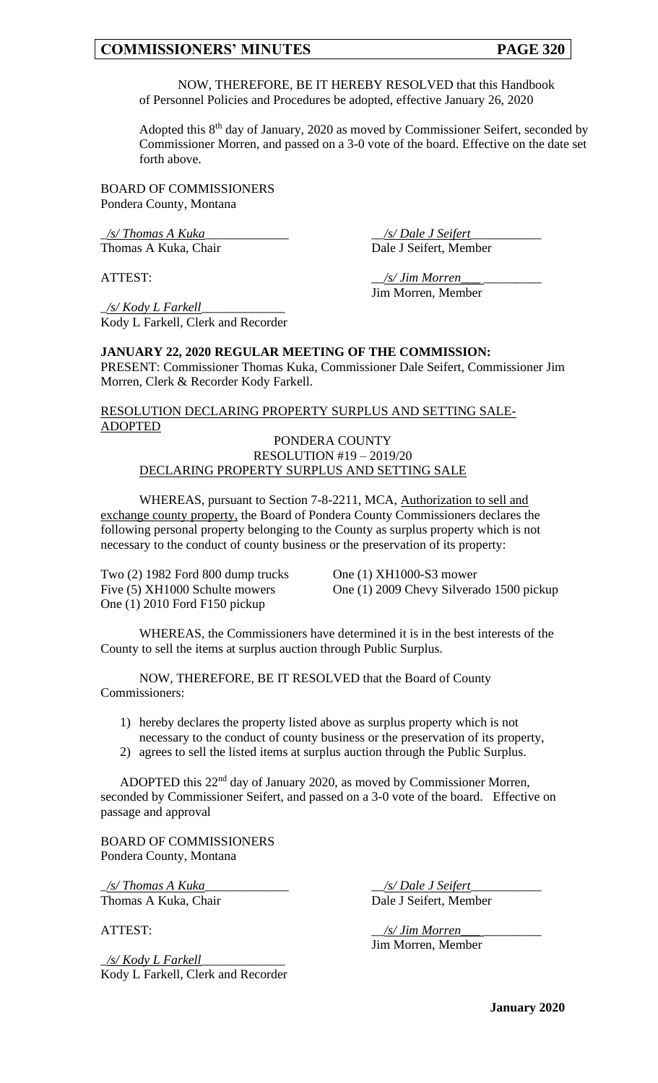NOW, THEREFORE, BE IT HEREBY RESOLVED that this Handbook of Personnel Policies and Procedures be adopted, effective January 26, 2020

Adopted this 8<sup>th</sup> day of January, 2020 as moved by Commissioner Seifert, seconded by Commissioner Morren, and passed on a 3-0 vote of the board. Effective on the date set forth above.

BOARD OF COMMISSIONERS Pondera County, Montana

\_*/s/ Thomas A Kuka*\_\_\_\_\_\_\_\_\_\_\_\_\_ \_\_*/s/ Dale J Seifert*\_\_\_\_\_\_\_\_\_\_\_ Thomas A Kuka, Chair

ATTEST:  $\frac{1}{s}$  /s/ Jim Morren Jim Morren, Member

\_*/s/ Kody L Farkell*\_\_\_\_\_\_\_\_\_\_\_\_\_ Kody L Farkell, Clerk and Recorder

### **JANUARY 22, 2020 REGULAR MEETING OF THE COMMISSION:**

PRESENT: Commissioner Thomas Kuka, Commissioner Dale Seifert, Commissioner Jim Morren, Clerk & Recorder Kody Farkell.

## RESOLUTION DECLARING PROPERTY SURPLUS AND SETTING SALE-ADOPTED

# PONDERA COUNTY RESOLUTION #19 – 2019/20 DECLARING PROPERTY SURPLUS AND SETTING SALE

WHEREAS, pursuant to Section 7-8-2211, MCA, Authorization to sell and exchange county property, the Board of Pondera County Commissioners declares the following personal property belonging to the County as surplus property which is not necessary to the conduct of county business or the preservation of its property:

Two (2) 1982 Ford 800 dump trucks One (1) XH1000-S3 mower<br>Five (5) XH1000 Schulte mowers One (1) 2009 Chevy Silvera One (1) 2010 Ford F150 pickup

One (1) 2009 Chevy Silverado 1500 pickup

WHEREAS, the Commissioners have determined it is in the best interests of the County to sell the items at surplus auction through Public Surplus.

NOW, THEREFORE, BE IT RESOLVED that the Board of County Commissioners:

- 1) hereby declares the property listed above as surplus property which is not necessary to the conduct of county business or the preservation of its property,
- 2) agrees to sell the listed items at surplus auction through the Public Surplus.

ADOPTED this 22<sup>nd</sup> day of January 2020, as moved by Commissioner Morren, seconded by Commissioner Seifert, and passed on a 3-0 vote of the board. Effective on passage and approval

BOARD OF COMMISSIONERS Pondera County, Montana

\_*/s/ Thomas A Kuka*\_\_\_\_\_\_\_\_\_\_\_\_\_ \_\_*/s/ Dale J Seifert*\_\_\_\_\_\_\_\_\_\_\_ Thomas A Kuka, Chair Dale J Seifert, Member

\_*/s/ Kody L Farkell*\_\_\_\_\_\_\_\_\_\_\_\_\_ Kody L Farkell, Clerk and Recorder

ATTEST:  $\frac{1}{s}$  /s/ Jim Morren Jim Morren, Member

**January 2020**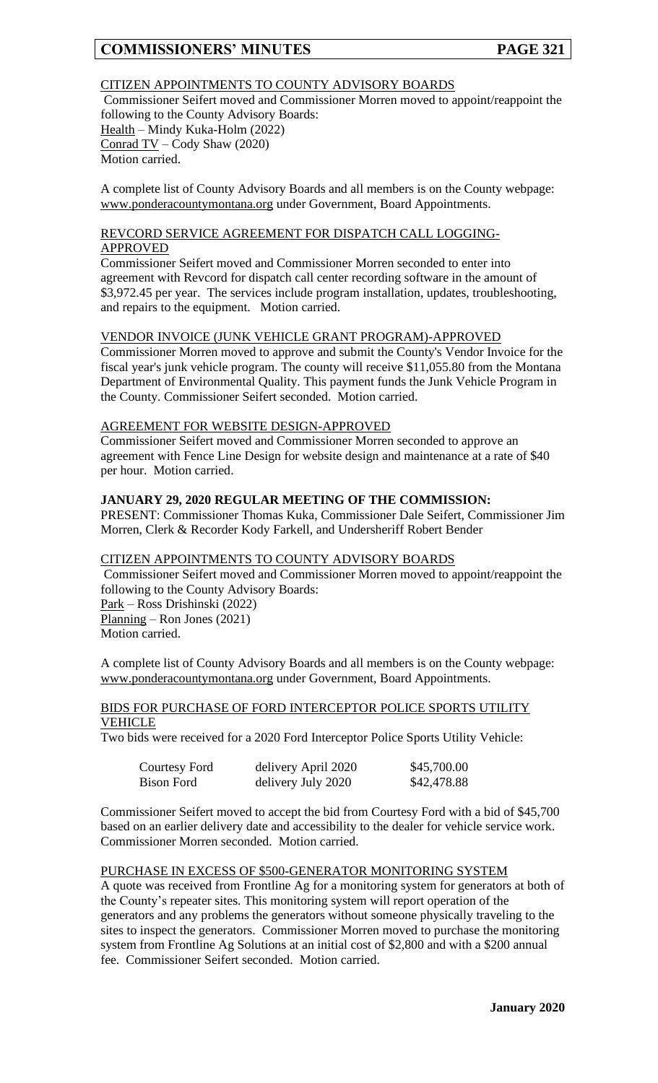# CITIZEN APPOINTMENTS TO COUNTY ADVISORY BOARDS

Commissioner Seifert moved and Commissioner Morren moved to appoint/reappoint the following to the County Advisory Boards: Health – Mindy Kuka-Holm (2022) Conrad TV – Cody Shaw (2020) Motion carried.

A complete list of County Advisory Boards and all members is on the County webpage: www.ponderacountymontana.org under Government, Board Appointments.

# REVCORD SERVICE AGREEMENT FOR DISPATCH CALL LOGGING-APPROVED

Commissioner Seifert moved and Commissioner Morren seconded to enter into agreement with Revcord for dispatch call center recording software in the amount of \$3,972.45 per year. The services include program installation, updates, troubleshooting, and repairs to the equipment. Motion carried.

### VENDOR INVOICE (JUNK VEHICLE GRANT PROGRAM)-APPROVED

Commissioner Morren moved to approve and submit the County's Vendor Invoice for the fiscal year's junk vehicle program. The county will receive \$11,055.80 from the Montana Department of Environmental Quality. This payment funds the Junk Vehicle Program in the County. Commissioner Seifert seconded. Motion carried.

#### AGREEMENT FOR WEBSITE DESIGN-APPROVED

Commissioner Seifert moved and Commissioner Morren seconded to approve an agreement with Fence Line Design for website design and maintenance at a rate of \$40 per hour. Motion carried.

# **JANUARY 29, 2020 REGULAR MEETING OF THE COMMISSION:**

PRESENT: Commissioner Thomas Kuka, Commissioner Dale Seifert, Commissioner Jim Morren, Clerk & Recorder Kody Farkell, and Undersheriff Robert Bender

# CITIZEN APPOINTMENTS TO COUNTY ADVISORY BOARDS

Commissioner Seifert moved and Commissioner Morren moved to appoint/reappoint the following to the County Advisory Boards:

Park – Ross Drishinski (2022) Planning – Ron Jones (2021) Motion carried.

A complete list of County Advisory Boards and all members is on the County webpage: www.ponderacountymontana.org under Government, Board Appointments.

### BIDS FOR PURCHASE OF FORD INTERCEPTOR POLICE SPORTS UTILITY VEHICLE

Two bids were received for a 2020 Ford Interceptor Police Sports Utility Vehicle:

| Courtesy Ford | delivery April 2020 | \$45,700.00 |
|---------------|---------------------|-------------|
| Bison Ford    | delivery July 2020  | \$42,478.88 |

Commissioner Seifert moved to accept the bid from Courtesy Ford with a bid of \$45,700 based on an earlier delivery date and accessibility to the dealer for vehicle service work. Commissioner Morren seconded. Motion carried.

### PURCHASE IN EXCESS OF \$500-GENERATOR MONITORING SYSTEM

A quote was received from Frontline Ag for a monitoring system for generators at both of the County's repeater sites. This monitoring system will report operation of the generators and any problems the generators without someone physically traveling to the sites to inspect the generators. Commissioner Morren moved to purchase the monitoring system from Frontline Ag Solutions at an initial cost of \$2,800 and with a \$200 annual fee. Commissioner Seifert seconded. Motion carried.